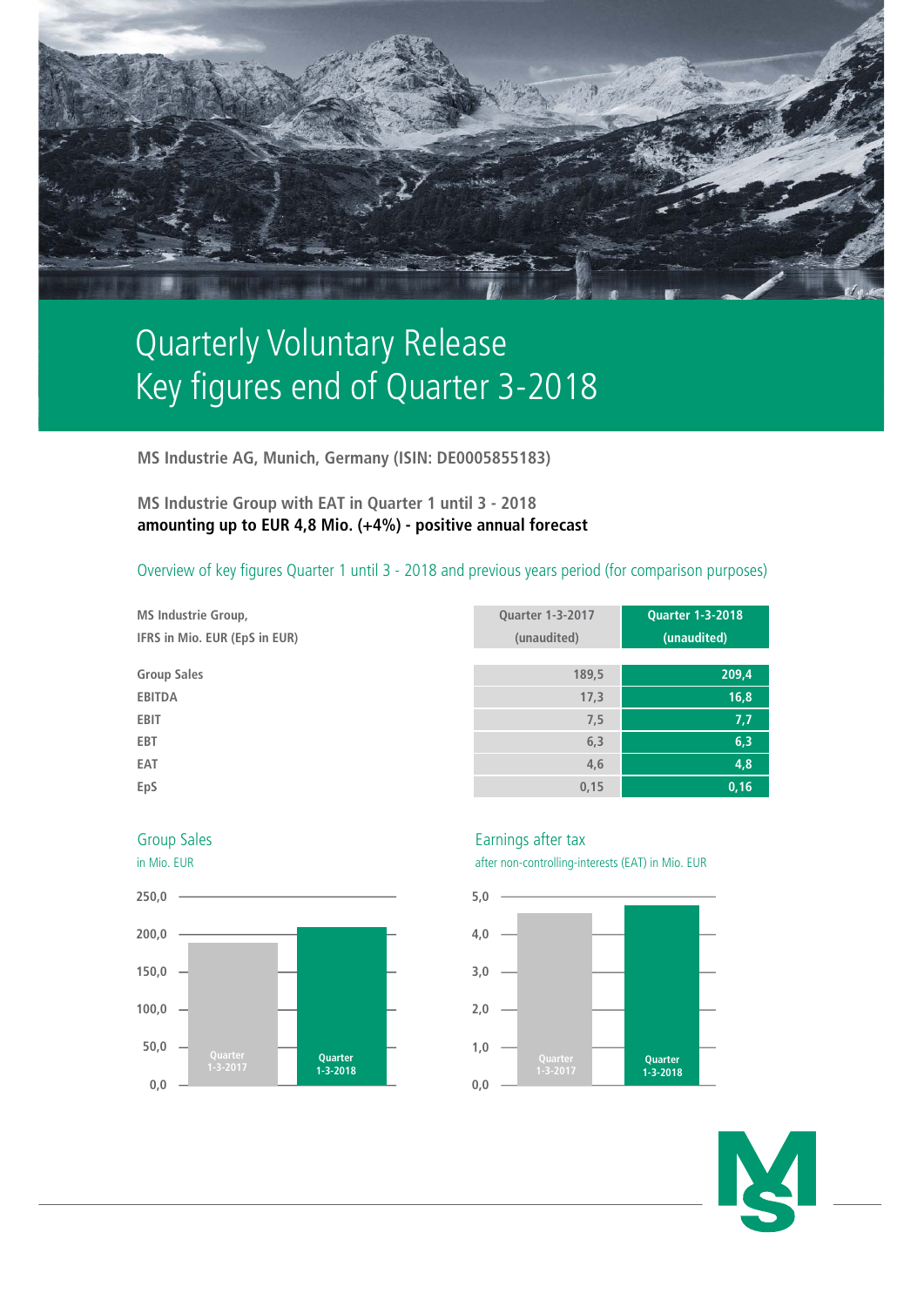

# Quarterly Voluntary Release Key figures end of Quarter 3-2018

**MS Industrie AG, Munich, Germany (ISIN: DE0005855183)**

## **MS Industrie Group with EAT in Quarter 1 until 3 - 2018 amounting up to EUR 4,8 Mio. (+4%) - positive annual forecast**

## Overview of key figures Quarter 1 until 3 - 2018 and previous years period (for comparison purposes)

**MS Industrie Group, Quarter 1-3-2017 Quarter 1-3-2018 IFRS in Mio. EUR (EpS in EUR) (unaudited) (unaudited) Group Sales 189,5 209,4 EBITDA 17,3 16,8 EBIT 7,5 7,7 EBT 6,3 6,3 EAT 4,6 4,8 EpS 0,15 0,16**





Group Sales **Earnings** after tax



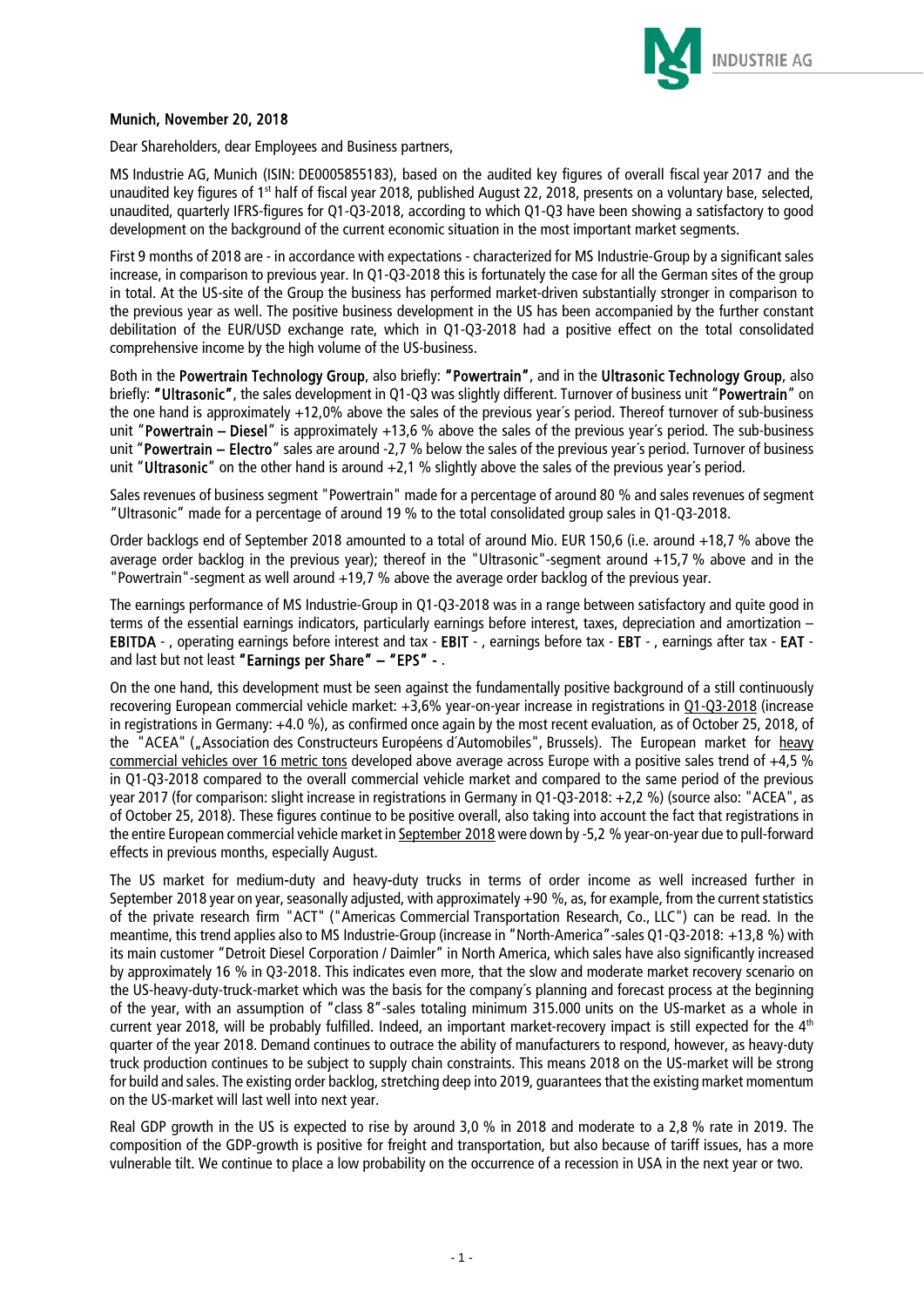

### Munich, November 20, 2018

Dear Shareholders, dear Employees and Business partners,

MS Industrie AG, Munich (ISIN: DE0005855183), based on the audited key figures of overall fiscal year 2017 and the unaudited key figures of 1<sup>st</sup> half of fiscal year 2018, published August 22, 2018, presents on a voluntary base, selected, unaudited, quarterly IFRS-figures for Q1-Q3-2018, according to which Q1-Q3 have been showing a satisfactory to good development on the background of the current economic situation in the most important market segments.

First 9 months of 2018 are - in accordance with expectations - characterized for MS Industrie-Group by a significant sales increase, in comparison to previous year. In Q1-Q3-2018 this is fortunately the case for all the German sites of the group in total. At the US-site of the Group the business has performed market-driven substantially stronger in comparison to the previous year as well. The positive business development in the US has been accompanied by the further constant debilitation of the EUR/USD exchange rate, which in Q1-Q3-2018 had a positive effect on the total consolidated comprehensive income by the high volume of the US-business.

Both in the Powertrain Technology Group, also briefly: "Powertrain", and in the Ultrasonic Technology Group, also briefly: "Ultrasonic", the sales development in Q1-Q3 was slightly different. Turnover of business unit "Powertrain" on the one hand is approximately +12,0% above the sales of the previous year´s period. Thereof turnover of sub-business unit "Powertrain – Diesel" is approximately  $+13.6$  % above the sales of the previous year's period. The sub-business unit "Powertrain – Electro" sales are around -2.7 % below the sales of the previous vear's period. Turnover of business unit "Ultrasonic" on the other hand is around  $+2,1$  % slightly above the sales of the previous year's period.

Sales revenues of business segment "Powertrain" made for a percentage of around 80 % and sales revenues of segment "Ultrasonic" made for a percentage of around 19 % to the total consolidated group sales in Q1-Q3-2018.

Order backlogs end of September 2018 amounted to a total of around Mio. EUR 150,6 (i.e. around +18,7 % above the average order backlog in the previous year); thereof in the "Ultrasonic"-segment around +15,7 % above and in the "Powertrain"-segment as well around +19,7 % above the average order backlog of the previous year.

The earnings performance of MS Industrie-Group in Q1-Q3-2018 was in a range between satisfactory and quite good in terms of the essential earnings indicators, particularly earnings before interest, taxes, depreciation and amortization – EBITDA - , operating earnings before interest and tax - EBIT - , earnings before tax - EBT - , earnings after tax - EAT and last but not least "Earnings per Share" – "EPS" - .

On the one hand, this development must be seen against the fundamentally positive background of a still continuously recovering European commercial vehicle market: +3,6% year-on-year increase in registrations in Q1-Q3-2018 (increase in registrations in Germany: +4.0 %), as confirmed once again by the most recent evaluation, as of October 25, 2018, of the "ACEA" ("Association des Constructeurs Européens d'Automobiles", Brussels). The European market for heavy commercial vehicles over 16 metric tons developed above average across Europe with a positive sales trend of  $+4.5$  % in Q1-Q3-2018 compared to the overall commercial vehicle market and compared to the same period of the previous year 2017 (for comparison: slight increase in registrations in Germany in Q1-Q3-2018: +2,2 %) (source also: "ACEA", as of October 25, 2018). These figures continue to be positive overall, also taking into account the fact that registrations in the entire European commercial vehicle market in September 2018 were down by -5,2 % year-on-year due to pull-forward effects in previous months, especially August.

The US market for medium-duty and heavy-duty trucks in terms of order income as well increased further in September 2018 year on year, seasonally adjusted, with approximately +90 %, as, for example, from the current statistics of the private research firm "ACT" ("Americas Commercial Transportation Research, Co., LLC") can be read. In the meantime, this trend applies also to MS Industrie-Group (increase in "North-America"-sales Q1-Q3-2018: +13,8 %) with its main customer "Detroit Diesel Corporation / Daimler" in North America, which sales have also significantly increased by approximately 16 % in Q3-2018. This indicates even more, that the slow and moderate market recovery scenario on the US-heavy-duty-truck-market which was the basis for the company´s planning and forecast process at the beginning of the year, with an assumption of "class 8"-sales totaling minimum 315.000 units on the US-market as a whole in current year 2018, will be probably fulfilled. Indeed, an important market-recovery impact is still expected for the 4<sup>th</sup> quarter of the year 2018. Demand continues to outrace the ability of manufacturers to respond, however, as heavy-duty truck production continues to be subject to supply chain constraints. This means 2018 on the US-market will be strong for build and sales. The existing order backlog, stretching deep into 2019, guarantees that the existing market momentum on the US-market will last well into next year.

Real GDP growth in the US is expected to rise by around 3,0 % in 2018 and moderate to a 2,8 % rate in 2019. The composition of the GDP-growth is positive for freight and transportation, but also because of tariff issues, has a more vulnerable tilt. We continue to place a low probability on the occurrence of a recession in USA in the next year or two.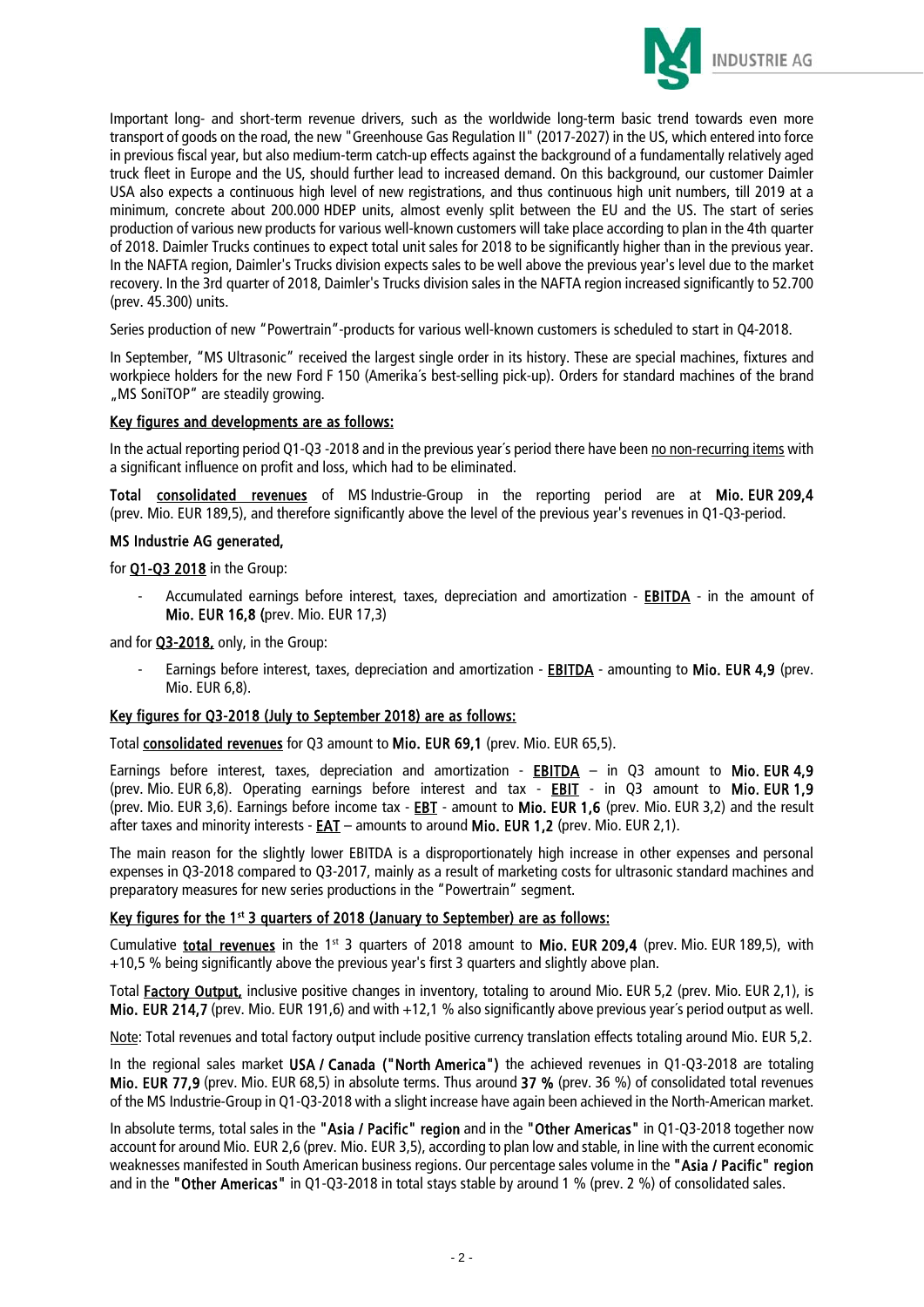

Important long- and short-term revenue drivers, such as the worldwide long-term basic trend towards even more transport of goods on the road, the new "Greenhouse Gas Regulation II" (2017-2027) in the US, which entered into force in previous fiscal year, but also medium-term catch-up effects against the background of a fundamentally relatively aged truck fleet in Europe and the US, should further lead to increased demand. On this background, our customer Daimler USA also expects a continuous high level of new registrations, and thus continuous high unit numbers, till 2019 at a minimum, concrete about 200.000 HDEP units, almost evenly split between the EU and the US. The start of series production of various new products for various well-known customers will take place according to plan in the 4th quarter of 2018. Daimler Trucks continues to expect total unit sales for 2018 to be significantly higher than in the previous year. In the NAFTA region, Daimler's Trucks division expects sales to be well above the previous year's level due to the market recovery. In the 3rd quarter of 2018, Daimler's Trucks division sales in the NAFTA region increased significantly to 52.700 (prev. 45.300) units.

Series production of new "Powertrain"-products for various well-known customers is scheduled to start in Q4-2018.

In September, "MS Ultrasonic" received the largest single order in its history. These are special machines, fixtures and workpiece holders for the new Ford F 150 (Amerika´s best-selling pick-up). Orders for standard machines of the brand "MS SoniTOP" are steadily growing.

#### Key figures and developments are as follows:

In the actual reporting period Q1-Q3 -2018 and in the previous year´s period there have been no non-recurring items with a significant influence on profit and loss, which had to be eliminated.

Total consolidated revenues of MS Industrie-Group in the reporting period are at Mio. EUR 209,4 (prev. Mio. EUR 189,5), and therefore significantly above the level of the previous year's revenues in Q1-Q3-period.

#### MS Industrie AG generated,

for **Q1-Q3 2018** in the Group:

Accumulated earnings before interest, taxes, depreciation and amortization - **EBITDA** - in the amount of Mio. EUR 16,8 (prev. Mio. EUR 17,3)

and for **Q3-2018**, only, in the Group:

Earnings before interest, taxes, depreciation and amortization - **EBITDA** - amounting to Mio. EUR 4,9 (prev. Mio. EUR 6,8).

#### Key figures for Q3-2018 (July to September 2018) are as follows:

Total consolidated revenues for Q3 amount to Mio. EUR 69,1 (prev. Mio. EUR 65,5).

Earnings before interest, taxes, depreciation and amortization -  $EBITDA - in Q3$  amount to Mio. EUR 4,9 (prev. Mio. EUR 6,8). Operating earnings before interest and tax - EBIT - in Q3 amount to Mio. EUR 1,9 (prev. Mio. EUR 3,6). Earnings before income tax - EBT - amount to Mio. EUR 1,6 (prev. Mio. EUR 3,2) and the result after taxes and minority interests - EAT – amounts to around Mio. EUR 1,2 (prev. Mio. EUR 2,1).

The main reason for the slightly lower EBITDA is a disproportionately high increase in other expenses and personal expenses in Q3-2018 compared to Q3-2017, mainly as a result of marketing costs for ultrasonic standard machines and preparatory measures for new series productions in the "Powertrain" segment.

#### Key figures for the 1<sup>st</sup> 3 quarters of 2018 (January to September) are as follows:

Cumulative total revenues in the 1<sup>st</sup> 3 quarters of 2018 amount to Mio. EUR 209.4 (prev. Mio. EUR 189.5), with +10,5 % being significantly above the previous year's first 3 quarters and slightly above plan.

Total Factory Output, inclusive positive changes in inventory, totaling to around Mio. EUR 5,2 (prev. Mio. EUR 2,1), is Mio. EUR 214,7 (prev. Mio. EUR 191,6) and with +12,1 % also significantly above previous year's period output as well.

Note: Total revenues and total factory output include positive currency translation effects totaling around Mio. EUR 5,2.

In the regional sales market USA / Canada ("North America") the achieved revenues in Q1-Q3-2018 are totaling Mio. EUR 77,9 (prev. Mio. EUR 68,5) in absolute terms. Thus around 37 % (prev. 36 %) of consolidated total revenues of the MS Industrie-Group in Q1-Q3-2018 with a slight increase have again been achieved in the North-American market.

In absolute terms, total sales in the "Asia / Pacific" region and in the "Other Americas" in Q1-Q3-2018 together now account for around Mio. EUR 2,6 (prev. Mio. EUR 3,5), according to plan low and stable, in line with the current economic weaknesses manifested in South American business regions. Our percentage sales volume in the "Asia / Pacific" region and in the "Other Americas" in Q1-Q3-2018 in total stays stable by around 1 % (prev. 2 %) of consolidated sales.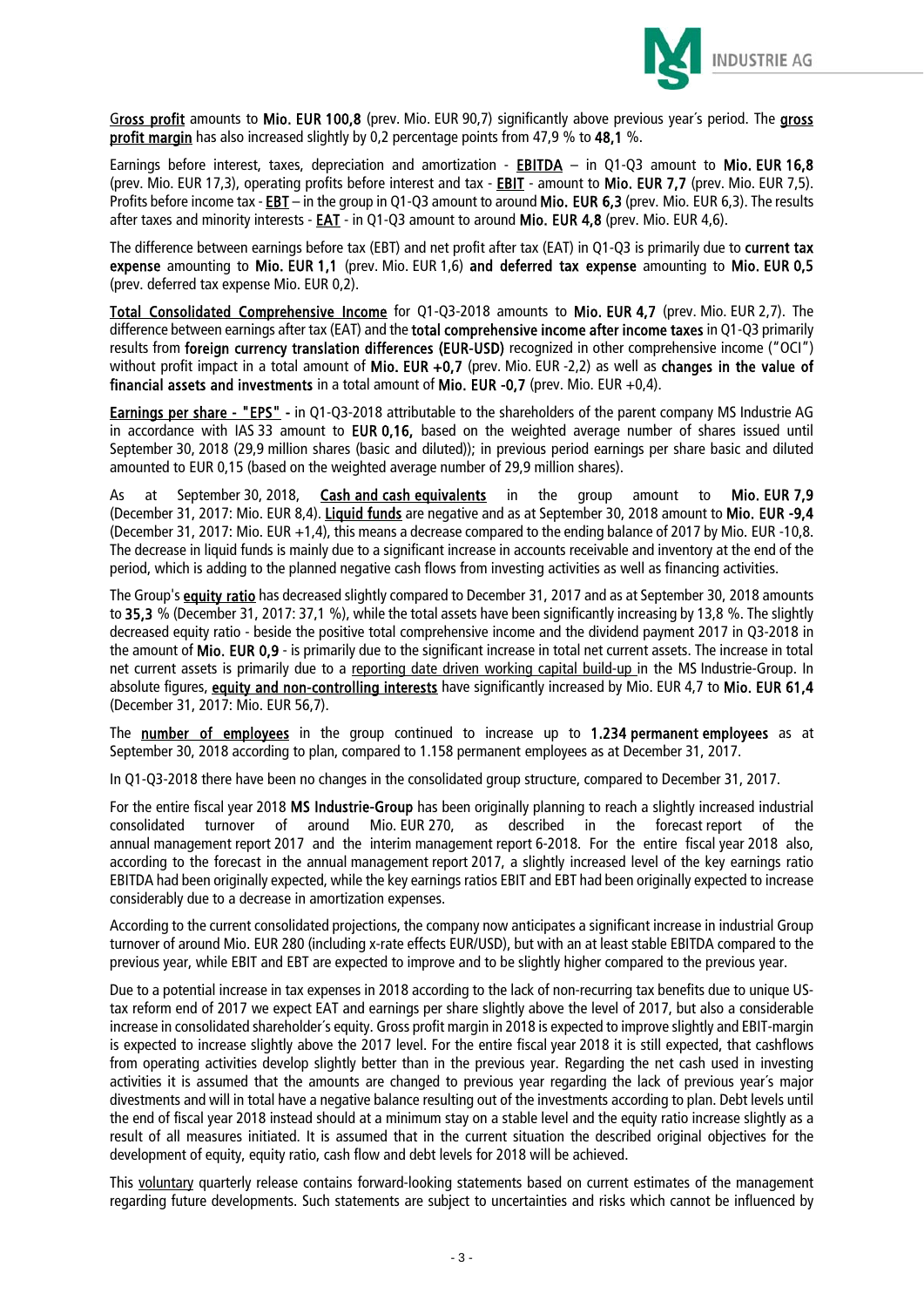

Gross profit amounts to Mio. EUR 100,8 (prev. Mio. EUR 90,7) significantly above previous year's period. The gross profit margin has also increased slightly by 0,2 percentage points from 47,9 % to 48,1 %.

Earnings before interest, taxes, depreciation and amortization - EBITDA – in O1-O3 amount to Mio. EUR 16.8 (prev. Mio. EUR 17,3), operating profits before interest and tax - **EBIT** - amount to Mio. EUR 7,7 (prev. Mio. EUR 7,5). Profits before income tax - EBT – in the group in Q1-Q3 amount to around Mio. EUR 6.3 (prev. Mio. EUR 6.3). The results after taxes and minority interests - **EAT** - in Q1-Q3 amount to around Mio. EUR 4,8 (prev. Mio. EUR 4,6).

The difference between earnings before tax (EBT) and net profit after tax (EAT) in Q1-Q3 is primarily due to current tax expense amounting to Mio. EUR 1.1 (prev. Mio. EUR 1.6) and deferred tax expense amounting to Mio. EUR 0.5 (prev. deferred tax expense Mio. EUR 0,2).

Total Consolidated Comprehensive Income for Q1-Q3-2018 amounts to Mio. EUR 4,7 (prev. Mio. EUR 2,7). The difference between earnings after tax (EAT) and the total comprehensive income after income taxes in Q1-Q3 primarily results from foreign currency translation differences (EUR-USD) recognized in other comprehensive income ("OCI") without profit impact in a total amount of Mio. EUR +0.7 (prev. Mio. EUR -2.2) as well as changes in the value of financial assets and investments in a total amount of Mio. EUR -0,7 (prev. Mio. EUR +0,4).

Earnings per share - "EPS" - in Q1-Q3-2018 attributable to the shareholders of the parent company MS Industrie AG in accordance with IAS 33 amount to EUR 0,16, based on the weighted average number of shares issued until September 30, 2018 (29,9 million shares (basic and diluted)); in previous period earnings per share basic and diluted amounted to EUR 0,15 (based on the weighted average number of 29,9 million shares).

As at September 30, 2018, Cash and cash equivalents in the group amount to Mio. EUR 7,9 (December 31, 2017: Mio. EUR 8,4). Liquid funds are negative and as at September 30, 2018 amount to Mio. EUR -9,4 (December 31, 2017: Mio. EUR +1,4), this means a decrease compared to the ending balance of 2017 by Mio. EUR -10,8. The decrease in liquid funds is mainly due to a significant increase in accounts receivable and inventory at the end of the period, which is adding to the planned negative cash flows from investing activities as well as financing activities.

The Group's **equity ratio** has decreased slightly compared to December 31, 2017 and as at September 30, 2018 amounts to 35.3 % (December 31, 2017: 37,1 %), while the total assets have been significantly increasing by 13.8 %. The slightly decreased equity ratio - beside the positive total comprehensive income and the dividend payment 2017 in Q3-2018 in the amount of Mio. EUR 0,9 - is primarily due to the significant increase in total net current assets. The increase in total net current assets is primarily due to a reporting date driven working capital build-up in the MS Industrie-Group. In absolute figures, equity and non-controlling interests have significantly increased by Mio. EUR 4,7 to Mio. EUR 61,4 (December 31, 2017: Mio. EUR 56,7).

The number of employees in the group continued to increase up to 1.234 permanent employees as at September 30, 2018 according to plan, compared to 1.158 permanent employees as at December 31, 2017.

In Q1-Q3-2018 there have been no changes in the consolidated group structure, compared to December 31, 2017.

For the entire fiscal year 2018 MS Industrie-Group has been originally planning to reach a slightly increased industrial consolidated turnover of around Mio. EUR 270, as described in the forecast report of the annual management report 2017 and the interim management report 6-2018. For the entire fiscal year 2018 also, according to the forecast in the annual management report 2017, a slightly increased level of the key earnings ratio EBITDA had been originally expected, while the key earnings ratios EBIT and EBT had been originally expected to increase considerably due to a decrease in amortization expenses.

According to the current consolidated projections, the company now anticipates a significant increase in industrial Group turnover of around Mio. EUR 280 (including x-rate effects EUR/USD), but with an at least stable EBITDA compared to the previous year, while EBIT and EBT are expected to improve and to be slightly higher compared to the previous year.

Due to a potential increase in tax expenses in 2018 according to the lack of non-recurring tax benefits due to unique UStax reform end of 2017 we expect EAT and earnings per share slightly above the level of 2017, but also a considerable increase in consolidated shareholder´s equity. Gross profit margin in 2018 is expected to improve slightly and EBIT-margin is expected to increase slightly above the 2017 level. For the entire fiscal year 2018 it is still expected, that cashflows from operating activities develop slightly better than in the previous year. Regarding the net cash used in investing activities it is assumed that the amounts are changed to previous year regarding the lack of previous year´s major divestments and will in total have a negative balance resulting out of the investments according to plan. Debt levels until the end of fiscal year 2018 instead should at a minimum stay on a stable level and the equity ratio increase slightly as a result of all measures initiated. It is assumed that in the current situation the described original objectives for the development of equity, equity ratio, cash flow and debt levels for 2018 will be achieved.

This voluntary quarterly release contains forward-looking statements based on current estimates of the management regarding future developments. Such statements are subject to uncertainties and risks which cannot be influenced by